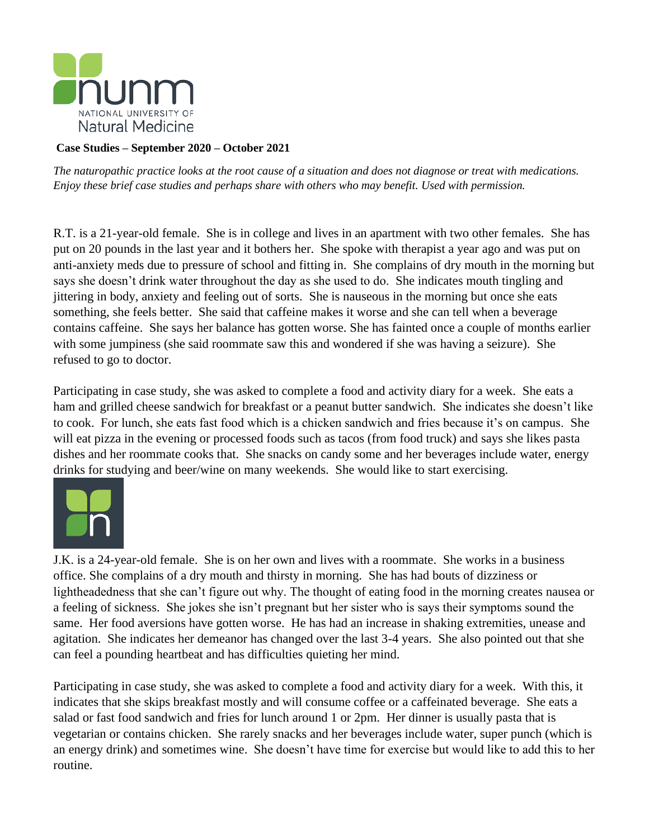

**Case Studies – September 2020 – October 2021** 

*The naturopathic practice looks at the root cause of a situation and does not diagnose or treat with medications. Enjoy these brief case studies and perhaps share with others who may benefit. Used with permission.*

R.T. is a 21-year-old female. She is in college and lives in an apartment with two other females. She has put on 20 pounds in the last year and it bothers her. She spoke with therapist a year ago and was put on anti-anxiety meds due to pressure of school and fitting in. She complains of dry mouth in the morning but says she doesn't drink water throughout the day as she used to do. She indicates mouth tingling and jittering in body, anxiety and feeling out of sorts. She is nauseous in the morning but once she eats something, she feels better. She said that caffeine makes it worse and she can tell when a beverage contains caffeine. She says her balance has gotten worse. She has fainted once a couple of months earlier with some jumpiness (she said roommate saw this and wondered if she was having a seizure). She refused to go to doctor.

Participating in case study, she was asked to complete a food and activity diary for a week. She eats a ham and grilled cheese sandwich for breakfast or a peanut butter sandwich. She indicates she doesn't like to cook. For lunch, she eats fast food which is a chicken sandwich and fries because it's on campus. She will eat pizza in the evening or processed foods such as tacos (from food truck) and says she likes pasta dishes and her roommate cooks that. She snacks on candy some and her beverages include water, energy drinks for studying and beer/wine on many weekends. She would like to start exercising.



J.K. is a 24-year-old female. She is on her own and lives with a roommate. She works in a business office. She complains of a dry mouth and thirsty in morning. She has had bouts of dizziness or lightheadedness that she can't figure out why. The thought of eating food in the morning creates nausea or a feeling of sickness. She jokes she isn't pregnant but her sister who is says their symptoms sound the same. Her food aversions have gotten worse. He has had an increase in shaking extremities, unease and agitation. She indicates her demeanor has changed over the last 3-4 years. She also pointed out that she can feel a pounding heartbeat and has difficulties quieting her mind.

Participating in case study, she was asked to complete a food and activity diary for a week. With this, it indicates that she skips breakfast mostly and will consume coffee or a caffeinated beverage. She eats a salad or fast food sandwich and fries for lunch around 1 or 2pm. Her dinner is usually pasta that is vegetarian or contains chicken. She rarely snacks and her beverages include water, super punch (which is an energy drink) and sometimes wine. She doesn't have time for exercise but would like to add this to her routine.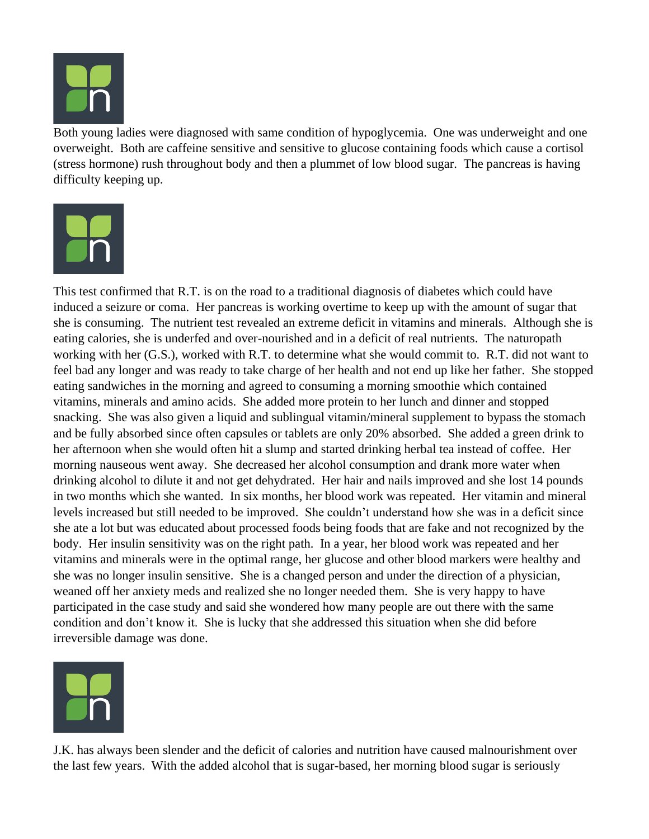

Both young ladies were diagnosed with same condition of hypoglycemia. One was underweight and one overweight. Both are caffeine sensitive and sensitive to glucose containing foods which cause a cortisol (stress hormone) rush throughout body and then a plummet of low blood sugar. The pancreas is having difficulty keeping up.



This test confirmed that R.T. is on the road to a traditional diagnosis of diabetes which could have induced a seizure or coma. Her pancreas is working overtime to keep up with the amount of sugar that she is consuming. The nutrient test revealed an extreme deficit in vitamins and minerals. Although she is eating calories, she is underfed and over-nourished and in a deficit of real nutrients. The naturopath working with her (G.S.), worked with R.T. to determine what she would commit to. R.T. did not want to feel bad any longer and was ready to take charge of her health and not end up like her father. She stopped eating sandwiches in the morning and agreed to consuming a morning smoothie which contained vitamins, minerals and amino acids. She added more protein to her lunch and dinner and stopped snacking. She was also given a liquid and sublingual vitamin/mineral supplement to bypass the stomach and be fully absorbed since often capsules or tablets are only 20% absorbed. She added a green drink to her afternoon when she would often hit a slump and started drinking herbal tea instead of coffee. Her morning nauseous went away. She decreased her alcohol consumption and drank more water when drinking alcohol to dilute it and not get dehydrated. Her hair and nails improved and she lost 14 pounds in two months which she wanted. In six months, her blood work was repeated. Her vitamin and mineral levels increased but still needed to be improved. She couldn't understand how she was in a deficit since she ate a lot but was educated about processed foods being foods that are fake and not recognized by the body. Her insulin sensitivity was on the right path. In a year, her blood work was repeated and her vitamins and minerals were in the optimal range, her glucose and other blood markers were healthy and she was no longer insulin sensitive. She is a changed person and under the direction of a physician, weaned off her anxiety meds and realized she no longer needed them. She is very happy to have participated in the case study and said she wondered how many people are out there with the same condition and don't know it. She is lucky that she addressed this situation when she did before irreversible damage was done.



J.K. has always been slender and the deficit of calories and nutrition have caused malnourishment over the last few years. With the added alcohol that is sugar-based, her morning blood sugar is seriously